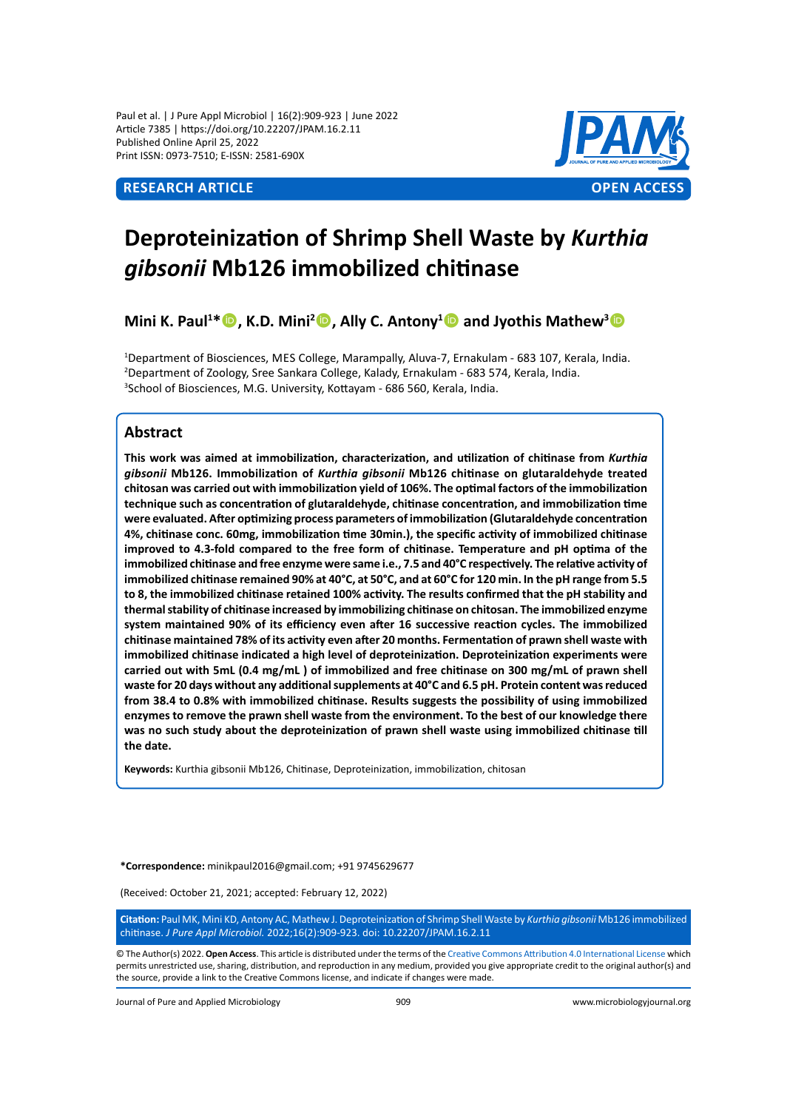Paul et al. | J Pure Appl Microbiol | 16(2):909-923 | June 2022 Article 7385 | https://doi.org/10.22207/JPAM.16.2.11 Published Online April 25, 2022 Print ISSN: 0973-7510; E-ISSN: 2581-690X



# **Deproteinization of Shrimp Shell Waste by** *Kurthia gibsonii* **Mb126 immobilized chitinase**

**Mini K. Paul<sup>1\*</sup> <sup>(\*</sup>), K.D. Mini<sup>2</sup> • Ally C. Antony<sup>1</sup> • and Jyothis Mathew<sup>3</sup> •** 

1 Department of Biosciences, Mes College, Marampally, Aluva-7, Ernakulam - 683 107, Kerala, India. 2 Department of Zoology, Sree Sankara College, Kalady, Ernakulam - 683 574, Kerala, India. 3 School of Biosciences, M.G. University, Kottayam - 686 560, Kerala, India.

# **Abstract**

**This work was aimed at immobilization, characterization, and utilization of chitinase from** *Kurthia gibsonii* **Mb126. Immobilization of** *Kurthia gibsonii* **Mb126 chitinase on glutaraldehyde treated chitosan was carried out with immobilization yield of 106%. The optimal factors of the immobilization technique such as concentration of glutaraldehyde, chitinase concentration, and immobilization time were evaluated. After optimizing process parameters of immobilization (Glutaraldehyde concentration 4%, chitinase conc. 60mg, immobilization time 30min.), the specific activity of immobilized chitinase improved to 4.3-fold compared to the free form of chitinase. Temperature and pH optima of the immobilized chitinase and free enzyme were same i.e., 7.5 and 40°C respectively. The relative activity of immobilized chitinase remained 90% at 40°C, at 50°C, and at 60°C for 120 min. In the pH range from 5.5 to 8, the immobilized chitinase retained 100% activity. The results confirmed that the pH stability and thermal stability of chitinase increased by immobilizing chitinase on chitosan. The immobilized enzyme system maintained 90% of its efficiency even after 16 successive reaction cycles. The immobilized chitinase maintained 78% of its activity even after 20 months. Fermentation of prawn shell waste with immobilized chitinase indicated a high level of deproteinization. Deproteinization experiments were carried out with 5mL (0.4 mg/mL ) of immobilized and free chitinase on 300 mg/mL of prawn shell waste for 20 days without any additional supplements at 40°C and 6.5 pH. Protein content was reduced from 38.4 to 0.8% with immobilized chitinase. Results suggests the possibility of using immobilized enzymes to remove the prawn shell waste from the environment. To the best of our knowledge there was no such study about the deproteinization of prawn shell waste using immobilized chitinase till the date.**

**Keywords:** Kurthia gibsonii Mb126, Chitinase, Deproteinization, immobilization, chitosan

**\*Correspondence:** minikpaul2016@gmail.com; +91 9745629677

(Received: October 21, 2021; accepted: February 12, 2022)

**Citation:** Paul MK, Mini KD, Antony AC, Mathew J. Deproteinization of Shrimp Shell Waste by *Kurthia gibsonii* Mb126 immobilized chitinase. *J Pure Appl Microbiol.* 2022;16(2):909-923. doi: 10.22207/JPAM.16.2.11

© The Author(s) 2022. **Open Access**. This article is distributed under the terms of the [Creative Commons Attribution 4.0 International License](https://creativecommons.org/licenses/by/4.0/) which permits unrestricted use, sharing, distribution, and reproduction in any medium, provided you give appropriate credit to the original author(s) and the source, provide a link to the Creative Commons license, and indicate if changes were made.

Journal of Pure and Applied Microbiology 909 www.microbiologyjournal.org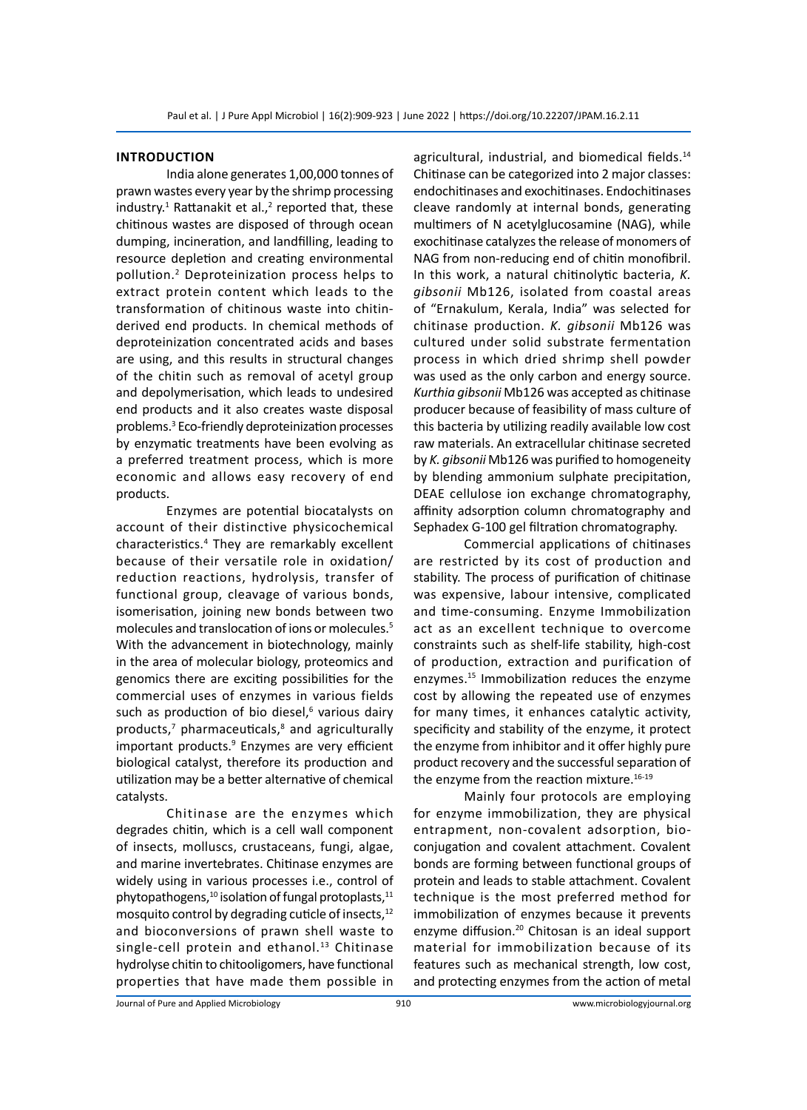#### **Introduction**

India alone generates 1,00,000 tonnes of prawn wastes every year by the shrimp processing industry.<sup>1</sup> Rattanakit et al.,<sup>2</sup> reported that, these chitinous wastes are disposed of through ocean dumping, incineration, and landfilling, leading to resource depletion and creating environmental pollution.2 Deproteinization process helps to extract protein content which leads to the transformation of chitinous waste into chitinderived end products. In chemical methods of deproteinization concentrated acids and bases are using, and this results in structural changes of the chitin such as removal of acetyl group and depolymerisation, which leads to undesired end products and it also creates waste disposal problems.<sup>3</sup> Eco-friendly deproteinization processes by enzymatic treatments have been evolving as a preferred treatment process, which is more economic and allows easy recovery of end products.

Enzymes are potential biocatalysts on account of their distinctive physicochemical characteristics.<sup>4</sup> They are remarkably excellent because of their versatile role in oxidation/ reduction reactions, hydrolysis, transfer of functional group, cleavage of various bonds, isomerisation, joining new bonds between two molecules and translocation of ions or molecules.<sup>5</sup> With the advancement in biotechnology, mainly in the area of molecular biology, proteomics and genomics there are exciting possibilities for the commercial uses of enzymes in various fields such as production of bio diesel,<sup>6</sup> various dairy products,<sup>7</sup> pharmaceuticals,<sup>8</sup> and agriculturally important products.<sup>9</sup> Enzymes are very efficient biological catalyst, therefore its production and utilization may be a better alternative of chemical catalysts.

Chitinase are the enzymes which degrades chitin, which is a cell wall component of insects, molluscs, crustaceans, fungi, algae, and marine invertebrates. Chitinase enzymes are widely using in various processes i.e., control of phytopathogens, $10$  isolation of fungal protoplasts, $11$ mosquito control by degrading cuticle of insects,<sup>12</sup> and bioconversions of prawn shell waste to single-cell protein and ethanol.<sup>13</sup> Chitinase hydrolyse chitin to chitooligomers, have functional properties that have made them possible in agricultural, industrial, and biomedical fields.<sup>14</sup> Chitinase can be categorized into 2 major classes: endochitinases and exochitinases. Endochitinases cleave randomly at internal bonds, generating multimers of N acetylglucosamine (NAG), while exochitinase catalyzes the release of monomers of NAG from non-reducing end of chitin monofibril. In this work, a natural chitinolytic bacteria, *K. gibsonii* Mb126, isolated from coastal areas of "Ernakulum, Kerala, India" was selected for chitinase production. *K. gibsonii* Mb126 was cultured under solid substrate fermentation process in which dried shrimp shell powder was used as the only carbon and energy source. *Kurthia gibsonii* Mb126 was accepted as chitinase producer because of feasibility of mass culture of this bacteria by utilizing readily available low cost raw materials. An extracellular chitinase secreted by *K. gibsonii* Mb126 was purified to homogeneity by blending ammonium sulphate precipitation, DEAE cellulose ion exchange chromatography, affinity adsorption column chromatography and Sephadex G-100 gel filtration chromatography.

Commercial applications of chitinases are restricted by its cost of production and stability. The process of purification of chitinase was expensive, labour intensive, complicated and time-consuming. Enzyme Immobilization act as an excellent technique to overcome constraints such as shelf-life stability, high-cost of production, extraction and purification of enzymes.<sup>15</sup> Immobilization reduces the enzyme cost by allowing the repeated use of enzymes for many times, it enhances catalytic activity, specificity and stability of the enzyme, it protect the enzyme from inhibitor and it offer highly pure product recovery and the successful separation of the enzyme from the reaction mixture.<sup>16-19</sup>

Mainly four protocols are employing for enzyme immobilization, they are physical entrapment, non-covalent adsorption, bioconjugation and covalent attachment. Covalent bonds are forming between functional groups of protein and leads to stable attachment. Covalent technique is the most preferred method for immobilization of enzymes because it prevents enzyme diffusion.<sup>20</sup> Chitosan is an ideal support material for immobilization because of its features such as mechanical strength, low cost, and protecting enzymes from the action of metal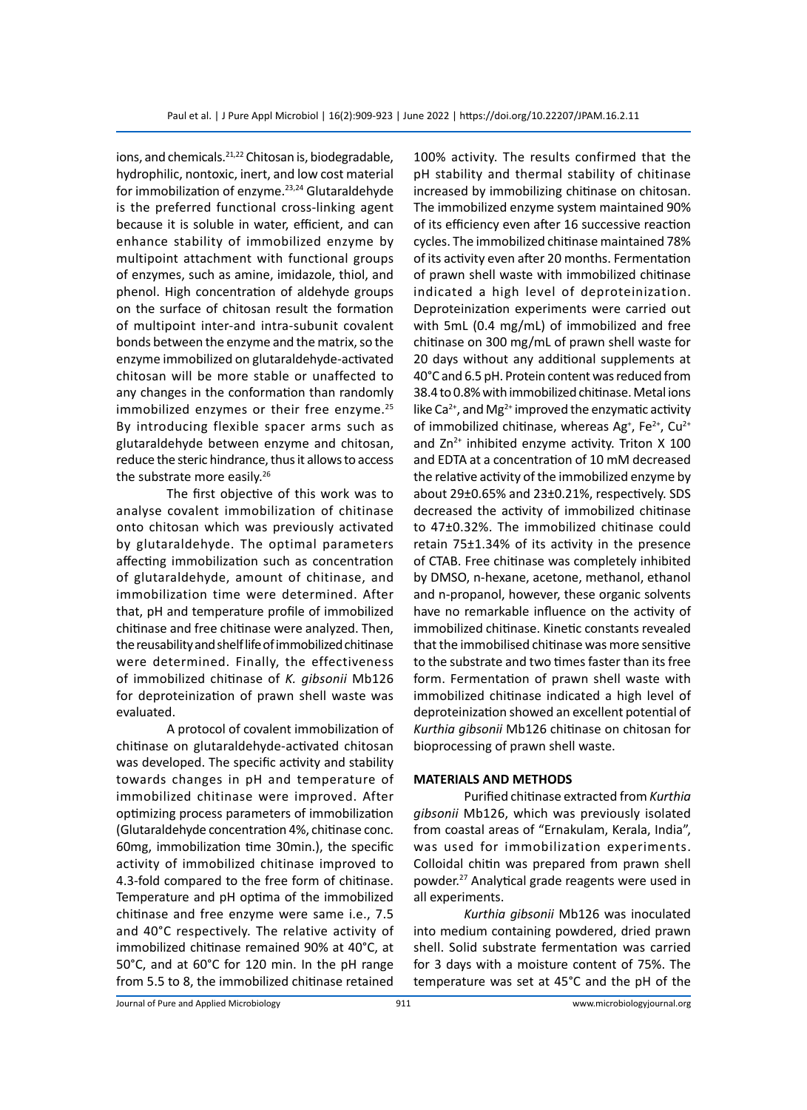ions, and chemicals.<sup>21,22</sup> Chitosan is, biodegradable, hydrophilic, nontoxic, inert, and low cost material for immobilization of enzyme.<sup>23,24</sup> Glutaraldehyde is the preferred functional cross-linking agent because it is soluble in water, efficient, and can enhance stability of immobilized enzyme by multipoint attachment with functional groups of enzymes, such as amine, imidazole, thiol, and phenol. High concentration of aldehyde groups on the surface of chitosan result the formation of multipoint inter-and intra-subunit covalent bonds between the enzyme and the matrix, so the enzyme immobilized on glutaraldehyde-activated chitosan will be more stable or unaffected to any changes in the conformation than randomly immobilized enzymes or their free enzyme.<sup>25</sup> By introducing flexible spacer arms such as glutaraldehyde between enzyme and chitosan, reduce the steric hindrance, thus it allows to access the substrate more easily.<sup>26</sup>

The first objective of this work was to analyse covalent immobilization of chitinase onto chitosan which was previously activated by glutaraldehyde. The optimal parameters affecting immobilization such as concentration of glutaraldehyde, amount of chitinase, and immobilization time were determined. After that, pH and temperature profile of immobilized chitinase and free chitinase were analyzed. Then, the reusability and shelf life of immobilized chitinase were determined. Finally, the effectiveness of immobilized chitinase of *K. gibsonii* Mb126 for deproteinization of prawn shell waste was evaluated.

A protocol of covalent immobilization of chitinase on glutaraldehyde-activated chitosan was developed. The specific activity and stability towards changes in pH and temperature of immobilized chitinase were improved. After optimizing process parameters of immobilization (Glutaraldehyde concentration 4%, chitinase conc. 60mg, immobilization time 30min.), the specific activity of immobilized chitinase improved to 4.3-fold compared to the free form of chitinase. Temperature and pH optima of the immobilized chitinase and free enzyme were same i.e., 7.5 and 40°C respectively. The relative activity of immobilized chitinase remained 90% at 40°C, at 50°C, and at 60°C for 120 min. In the pH range from 5.5 to 8, the immobilized chitinase retained 100% activity. The results confirmed that the pH stability and thermal stability of chitinase increased by immobilizing chitinase on chitosan. The immobilized enzyme system maintained 90% of its efficiency even after 16 successive reaction cycles. The immobilized chitinase maintained 78% of its activity even after 20 months. Fermentation of prawn shell waste with immobilized chitinase indicated a high level of deproteinization. Deproteinization experiments were carried out with 5mL (0.4 mg/mL) of immobilized and free chitinase on 300 mg/mL of prawn shell waste for 20 days without any additional supplements at 40°C and 6.5 pH. Protein content was reduced from 38.4 to 0.8% with immobilized chitinase. Metal ions like Ca<sup>2+</sup>, and Mg<sup>2+</sup> improved the enzymatic activity of immobilized chitinase, whereas  $Ag^*$ , Fe<sup>2+</sup>, Cu<sup>2+</sup> and  $Zn^{2+}$  inhibited enzyme activity. Triton X 100 and EDTA at a concentration of 10 mM decreased the relative activity of the immobilized enzyme by about 29±0.65% and 23±0.21%, respectively. SDS decreased the activity of immobilized chitinase to 47±0.32%. The immobilized chitinase could retain 75±1.34% of its activity in the presence of CTAB. Free chitinase was completely inhibited by DMSO, n-hexane, acetone, methanol, ethanol and n-propanol, however, these organic solvents have no remarkable influence on the activity of immobilized chitinase. Kinetic constants revealed that the immobilised chitinase was more sensitive to the substrate and two times faster than its free form. Fermentation of prawn shell waste with immobilized chitinase indicated a high level of deproteinization showed an excellent potential of *Kurthia gibsonii* Mb126 chitinase on chitosan for bioprocessing of prawn shell waste.

#### **MATERIALS AND METHODS**

Purified chitinase extracted from *Kurthia gibsonii* Mb126, which was previously isolated from coastal areas of "Ernakulam, Kerala, India", was used for immobilization experiments. Colloidal chitin was prepared from prawn shell powder.27 Analytical grade reagents were used in all experiments.

*Kurthia gibsonii* Mb126 was inoculated into medium containing powdered, dried prawn shell. Solid substrate fermentation was carried for 3 days with a moisture content of 75%. The temperature was set at 45°C and the pH of the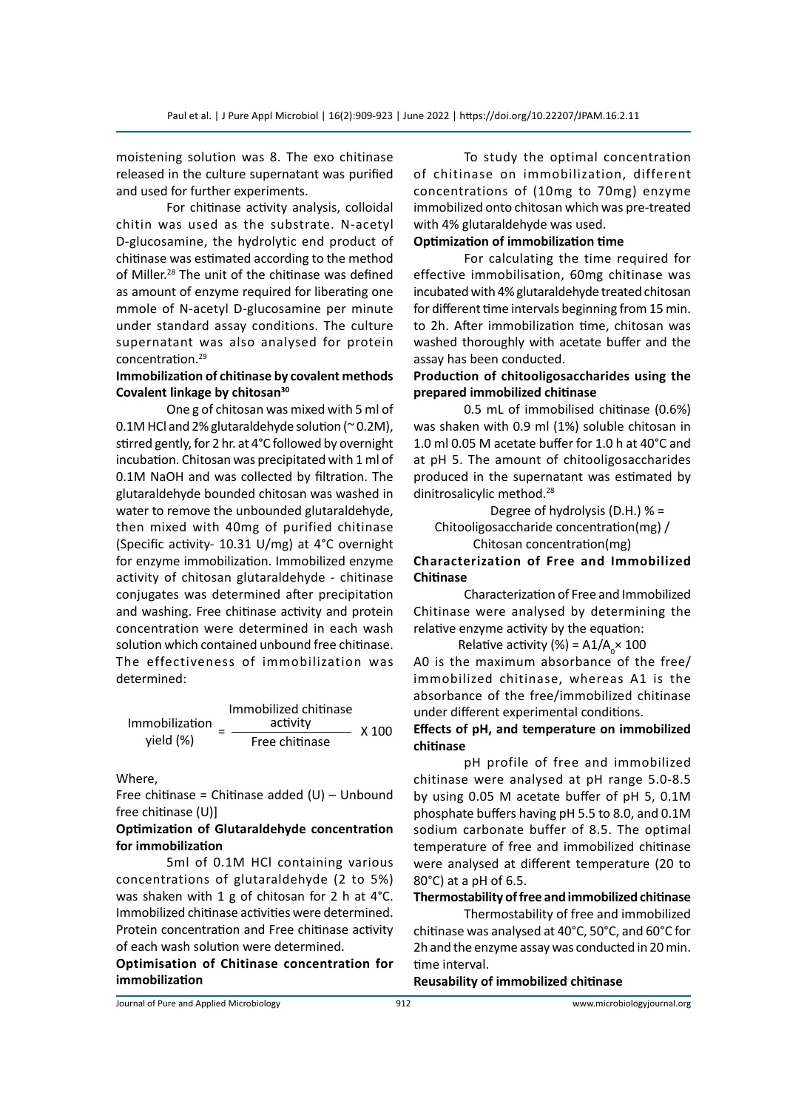moistening solution was 8. The exo chitinase released in the culture supernatant was purified and used for further experiments.

For chitinase activity analysis, colloidal chitin was used as the substrate. N-acetyl D-glucosamine, the hydrolytic end product of chitinase was estimated according to the method of Miller.<sup>28</sup> The unit of the chitinase was defined as amount of enzyme required for liberating one mmole of N-acetyl D-glucosamine per minute under standard assay conditions. The culture supernatant was also analysed for protein concentration.<sup>29</sup>

#### **Immobilization of chitinase by covalent methods Covalent linkage by chitosan30**

One g of chitosan was mixed with 5 ml of 0.1M HCl and 2% glutaraldehyde solution (~0.2M), stirred gently, for 2 hr. at 4°C followed by overnight incubation. Chitosan was precipitated with 1 ml of 0.1M NaOH and was collected by filtration. The glutaraldehyde bounded chitosan was washed in water to remove the unbounded glutaraldehyde, then mixed with 40mg of purified chitinase (Specific activity- 10.31 U/mg) at 4°C overnight for enzyme immobilization. Immobilized enzyme activity of chitosan glutaraldehyde - chitinase conjugates was determined after precipitation and washing. Free chitinase activity and protein concentration were determined in each wash solution which contained unbound free chitinase. The effectiveness of immobilization was determined:

|                | Immobilized chitinase |       |
|----------------|-----------------------|-------|
| Immobilization | activity              | X 100 |
| yield (%)      | Free chitinase        |       |

Where,

Free chitinase = Chitinase added  $(U)$  – Unbound free chitinase (U)]

# **Optimization of Glutaraldehyde concentration for immobilization**

5ml of 0.1M HCl containing various concentrations of glutaraldehyde (2 to 5%) was shaken with 1 g of chitosan for 2 h at 4°C. Immobilized chitinase activities were determined. Protein concentration and Free chitinase activity of each wash solution were determined.

# **Optimisation of Chitinase concentration for immobilization**

To study the optimal concentration of chitinase on immobilization, different concentrations of (10mg to 70mg) enzyme immobilized onto chitosan which was pre-treated with 4% glutaraldehyde was used.

#### **Optimization of immobilization time**

For calculating the time required for effective immobilisation, 60mg chitinase was incubated with 4% glutaraldehyde treated chitosan for different time intervals beginning from 15 min. to 2h. After immobilization time, chitosan was washed thoroughly with acetate buffer and the assay has been conducted.

# **Production of chitooligosaccharides using the prepared immobilized chitinase**

0.5 mL of immobilised chitinase (0.6%) was shaken with 0.9 ml (1%) soluble chitosan in 1.0 ml 0.05 M acetate buffer for 1.0 h at 40°C and at pH 5. The amount of chitooligosaccharides produced in the supernatant was estimated by dinitrosalicylic method.<sup>28</sup>

Degree of hydrolysis (D.H.) % = Chitooligosaccharide concentration(mg) / Chitosan concentration(mg)

# **Characterization of Free and Immobilized Chitinase**

Characterization of Free and Immobilized Chitinase were analysed by determining the relative enzyme activity by the equation:

Relative activity (%) =  $A1/A$ <sub>0</sub>  $\times$  100 A0 is the maximum absorbance of the free/ immobilized chitinase, whereas A1 is the absorbance of the free/immobilized chitinase under different experimental conditions.

#### **Effects of pH, and temperature on immobilized chitinase**

pH profile of free and immobilized chitinase were analysed at pH range 5.0-8.5 by using 0.05 M acetate buffer of pH 5, 0.1M phosphate buffers having pH 5.5 to 8.0, and 0.1M sodium carbonate buffer of 8.5. The optimal temperature of free and immobilized chitinase were analysed at different temperature (20 to 80°C) at a pH of 6.5.

# **Thermostability of free and immobilized chitinase**

Thermostability of free and immobilized chitinase was analysed at 40°C, 50°C, and 60°C for 2h and the enzyme assay was conducted in 20 min. time interval.

#### **Reusability of immobilized chitinase**

Journal of Pure and Applied Microbiology 912 www.microbiologyjournal.org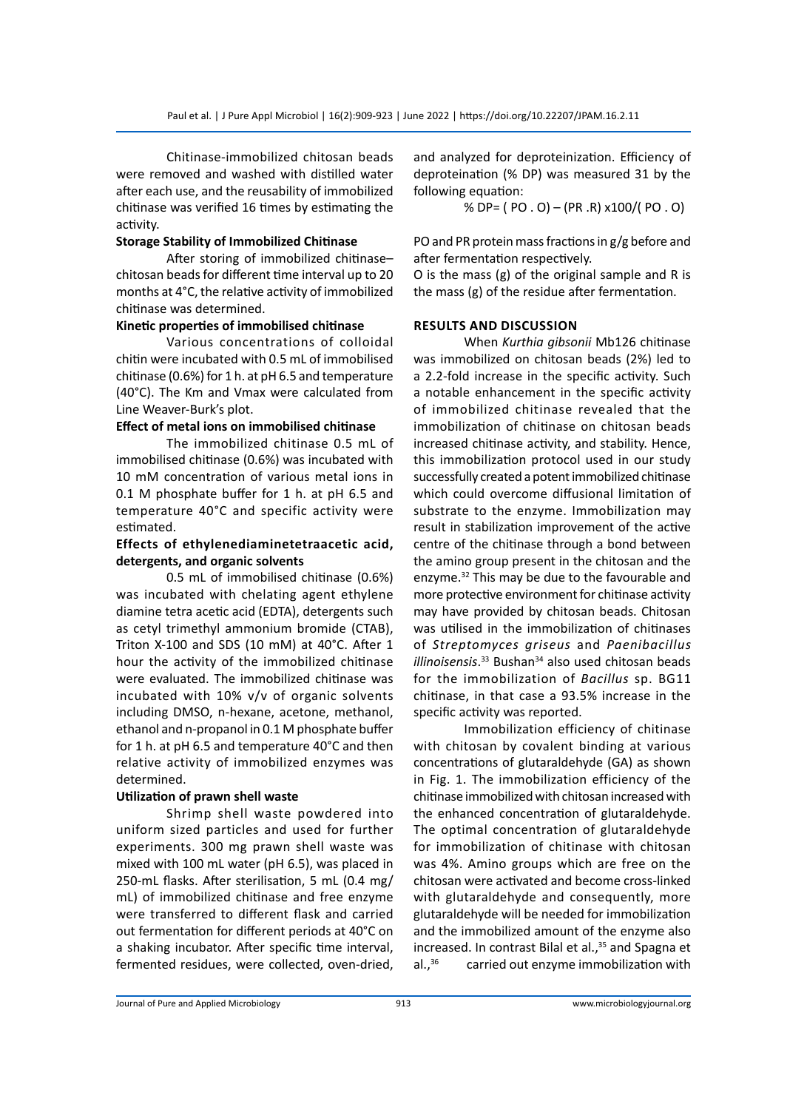Chitinase-immobilized chitosan beads were removed and washed with distilled water after each use, and the reusability of immobilized chitinase was verified 16 times by estimating the activity.

# **Storage Stability of Immobilized Chitinase**

After storing of immobilized chitinase– chitosan beads for different time interval up to 20 months at 4°C, the relative activity of immobilized chitinase was determined.

#### **Kinetic properties of immobilised chitinase**

Various concentrations of colloidal chitin were incubated with 0.5 mL of immobilised chitinase (0.6%) for 1 h. at pH 6.5 and temperature (40°C). The Km and Vmax were calculated from Line Weaver-Burk's plot.

# **Effect of metal ions on immobilised chitinase**

The immobilized chitinase 0.5 mL of immobilised chitinase (0.6%) was incubated with 10 mM concentration of various metal ions in 0.1 M phosphate buffer for 1 h. at pH 6.5 and temperature 40°C and specific activity were estimated.

# **Effects of ethylenediaminetetraacetic acid, detergents, and organic solvents**

0.5 mL of immobilised chitinase (0.6%) was incubated with chelating agent ethylene diamine tetra acetic acid (EDTA), detergents such as cetyl trimethyl ammonium bromide (CTAB), Triton X-100 and SDS (10 mM) at 40°C. After 1 hour the activity of the immobilized chitinase were evaluated. The immobilized chitinase was incubated with 10% v/v of organic solvents including DMSO, n-hexane, acetone, methanol, ethanol and n-propanol in 0.1 M phosphate buffer for 1 h. at pH 6.5 and temperature 40°C and then relative activity of immobilized enzymes was determined.

# **Utilization of prawn shell waste**

Shrimp shell waste powdered into uniform sized particles and used for further experiments. 300 mg prawn shell waste was mixed with 100 mL water (pH 6.5), was placed in 250-mL flasks. After sterilisation, 5 mL (0.4 mg/ mL) of immobilized chitinase and free enzyme were transferred to different flask and carried out fermentation for different periods at 40°C on a shaking incubator. After specific time interval, fermented residues, were collected, oven-dried, and analyzed for deproteinization. Efficiency of deproteination (% DP) was measured 31 by the following equation:

% DP= ( PO . O) – (PR .R) x100/( PO . O)

PO and PR protein mass fractions in g/g before and after fermentation respectively.

O is the mass (g) of the original sample and R is the mass (g) of the residue after fermentation.

# **Results and discussion**

When *Kurthia gibsonii* Mb126 chitinase was immobilized on chitosan beads (2%) led to a 2.2-fold increase in the specific activity. Such a notable enhancement in the specific activity of immobilized chitinase revealed that the immobilization of chitinase on chitosan beads increased chitinase activity, and stability. Hence, this immobilization protocol used in our study successfully created a potent immobilized chitinase which could overcome diffusional limitation of substrate to the enzyme. Immobilization may result in stabilization improvement of the active centre of the chitinase through a bond between the amino group present in the chitosan and the enzyme.32 This may be due to the favourable and more protective environment for chitinase activity may have provided by chitosan beads. Chitosan was utilised in the immobilization of chitinases of *Streptomyces griseus* and *Paenibacillus*  illinoisensis.<sup>33</sup> Bushan<sup>34</sup> also used chitosan beads for the immobilization of *Bacillus* sp. BG11 chitinase, in that case a 93.5% increase in the specific activity was reported.

Immobilization efficiency of chitinase with chitosan by covalent binding at various concentrations of glutaraldehyde (GA) as shown in Fig. 1. The immobilization efficiency of the chitinase immobilized with chitosan increased with the enhanced concentration of glutaraldehyde. The optimal concentration of glutaraldehyde for immobilization of chitinase with chitosan was 4%. Amino groups which are free on the chitosan were activated and become cross-linked with glutaraldehyde and consequently, more glutaraldehyde will be needed for immobilization and the immobilized amount of the enzyme also increased. In contrast Bilal et al.,<sup>35</sup> and Spagna et al.,<sup>36</sup> carried out enzyme immobilization with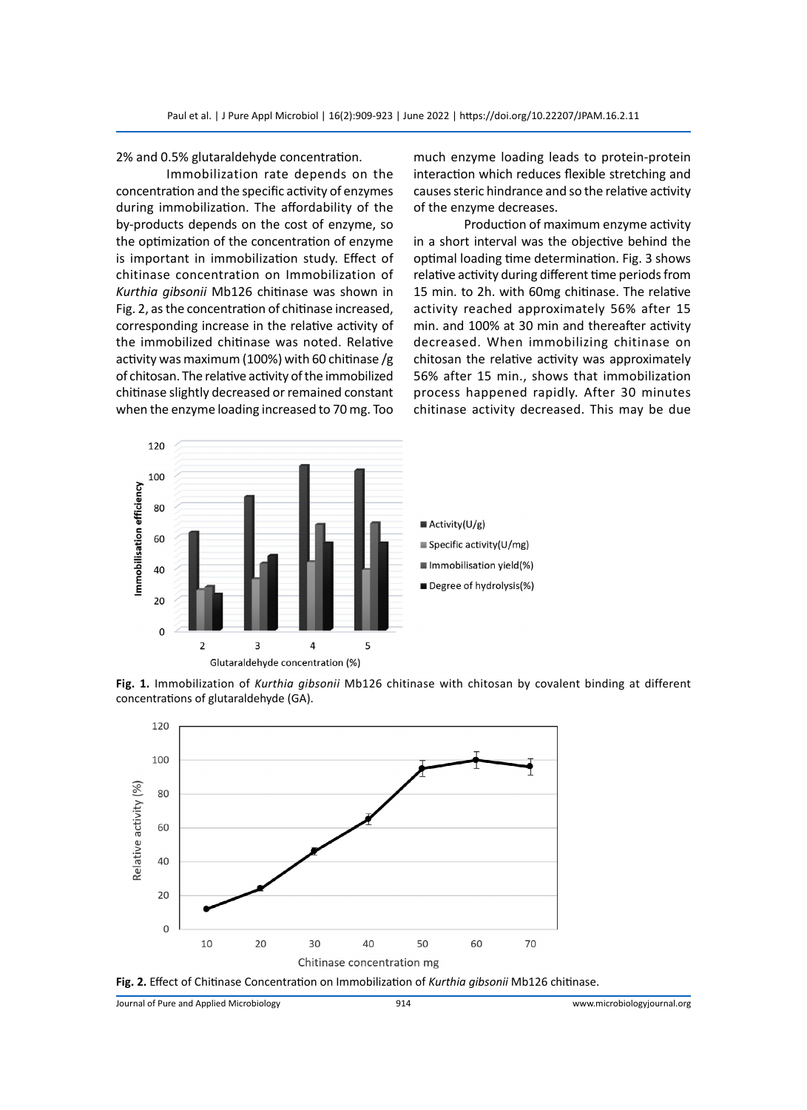2% and 0.5% glutaraldehyde concentration.

Immobilization rate depends on the concentration and the specific activity of enzymes during immobilization. The affordability of the by-products depends on the cost of enzyme, so the optimization of the concentration of enzyme is important in immobilization study. Effect of chitinase concentration on Immobilization of *Kurthia gibsonii* Mb126 chitinase was shown in Fig. 2, as the concentration of chitinase increased, corresponding increase in the relative activity of the immobilized chitinase was noted. Relative activity was maximum (100%) with 60 chitinase /g of chitosan. The relative activity of the immobilized chitinase slightly decreased or remained constant when the enzyme loading increased to 70 mg. Too

much enzyme loading leads to protein-protein interaction which reduces flexible stretching and causes steric hindrance and so the relative activity of the enzyme decreases.

Production of maximum enzyme activity in a short interval was the objective behind the optimal loading time determination. Fig. 3 shows relative activity during different time periods from 15 min. to 2h. with 60mg chitinase. The relative activity reached approximately 56% after 15 min. and 100% at 30 min and thereafter activity decreased. When immobilizing chitinase on chitosan the relative activity was approximately 56% after 15 min., shows that immobilization process happened rapidly. After 30 minutes chitinase activity decreased. This may be due



**Fig. 1.** Immobilization of *Kurthia gibsonii* Mb126 chitinase with chitosan by covalent binding at different concentrations of glutaraldehyde (GA).





Journal of Pure and Applied Microbiology 914 www.microbiologyjournal.org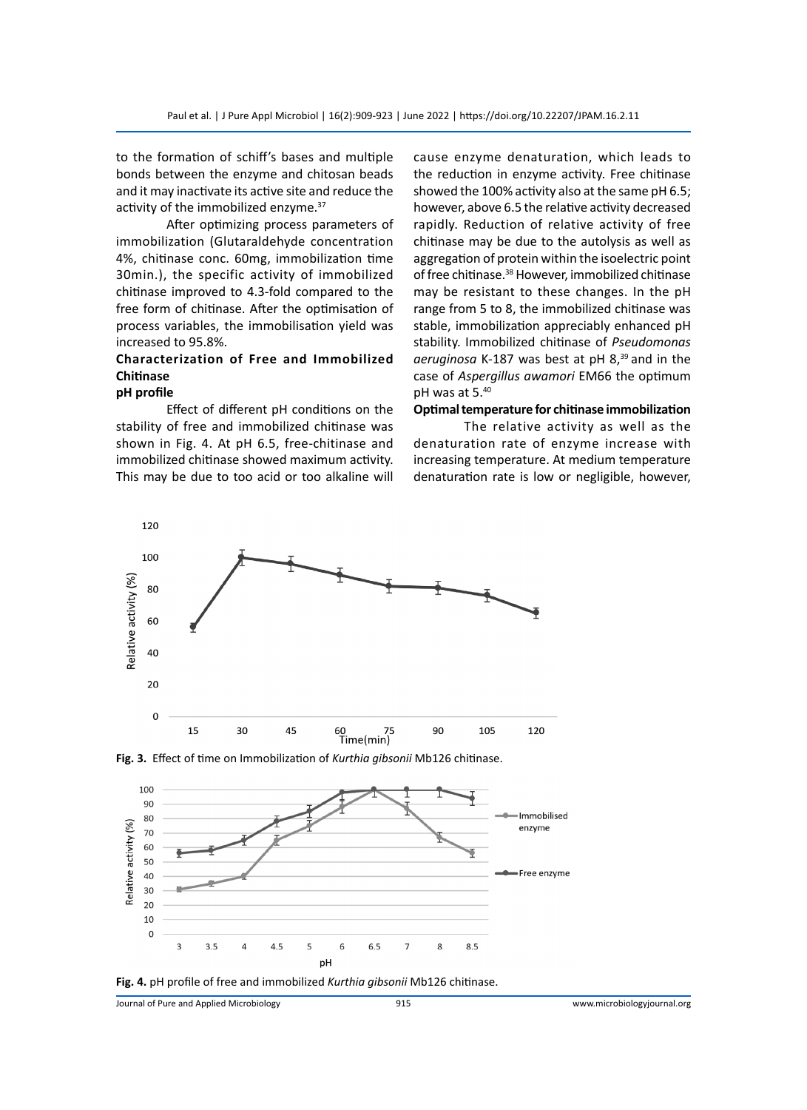to the formation of schiff's bases and multiple bonds between the enzyme and chitosan beads and it may inactivate its active site and reduce the activity of the immobilized enzyme.<sup>37</sup>

After optimizing process parameters of immobilization (Glutaraldehyde concentration 4%, chitinase conc. 60mg, immobilization time 30min.), the specific activity of immobilized chitinase improved to 4.3-fold compared to the free form of chitinase. After the optimisation of process variables, the immobilisation yield was increased to 95.8%.

# **Characterization of Free and Immobilized Chitinase pH profile**

Effect of different pH conditions on the stability of free and immobilized chitinase was shown in Fig. 4. At pH 6.5, free-chitinase and immobilized chitinase showed maximum activity. This may be due to too acid or too alkaline will cause enzyme denaturation, which leads to the reduction in enzyme activity. Free chitinase showed the 100% activity also at the same pH 6.5; however, above 6.5 the relative activity decreased rapidly. Reduction of relative activity of free chitinase may be due to the autolysis as well as aggregation of protein within the isoelectric point of free chitinase.<sup>38</sup> However, immobilized chitinase may be resistant to these changes. In the pH range from 5 to 8, the immobilized chitinase was stable, immobilization appreciably enhanced pH stability. Immobilized chitinase of *Pseudomonas*  aeruginosa K-187 was best at pH 8,<sup>39</sup> and in the case of *Aspergillus awamori* EM66 the optimum pH was at 5.40

#### **Optimal temperature for chitinase immobilization**

The relative activity as well as the denaturation rate of enzyme increase with increasing temperature. At medium temperature denaturation rate is low or negligible, however,



**Fig. 3.** Effect of time on Immobilization of *Kurthia gibsonii* Mb126 chitinase.





Journal of Pure and Applied Microbiology 915 www.microbiologyjournal.org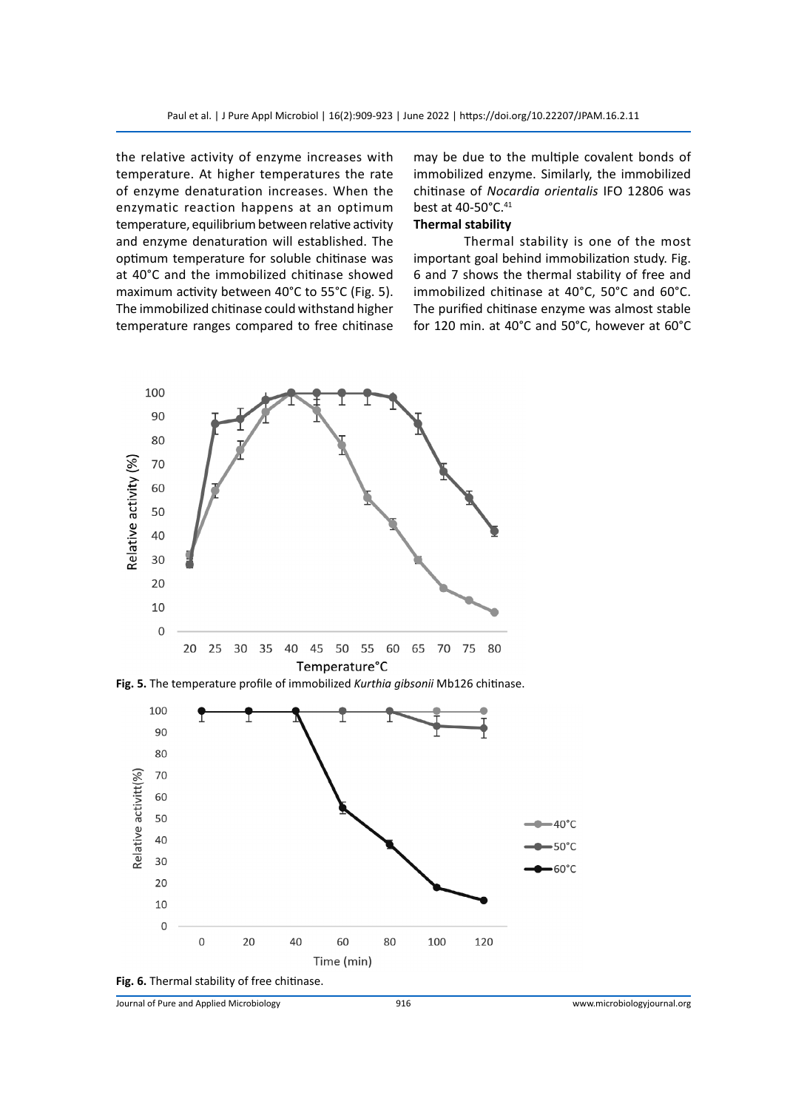the relative activity of enzyme increases with temperature. At higher temperatures the rate of enzyme denaturation increases. When the enzymatic reaction happens at an optimum temperature, equilibrium between relative activity and enzyme denaturation will established. The optimum temperature for soluble chitinase was at 40°C and the immobilized chitinase showed maximum activity between 40°C to 55°C (Fig. 5). The immobilized chitinase could withstand higher temperature ranges compared to free chitinase may be due to the multiple covalent bonds of immobilized enzyme. Similarly, the immobilized chitinase of *Nocardia orientalis* IFO 12806 was best at 40-50°C.<sup>41</sup>

# **Thermal stability**

Thermal stability is one of the most important goal behind immobilization study. Fig. 6 and 7 shows the thermal stability of free and immobilized chitinase at 40°C, 50°C and 60°C. The purified chitinase enzyme was almost stable for 120 min. at 40°C and 50°C, however at 60°C



**Fig. 5.** The temperature profile of immobilized *Kurthia gibsonii* Mb126 chitinase.



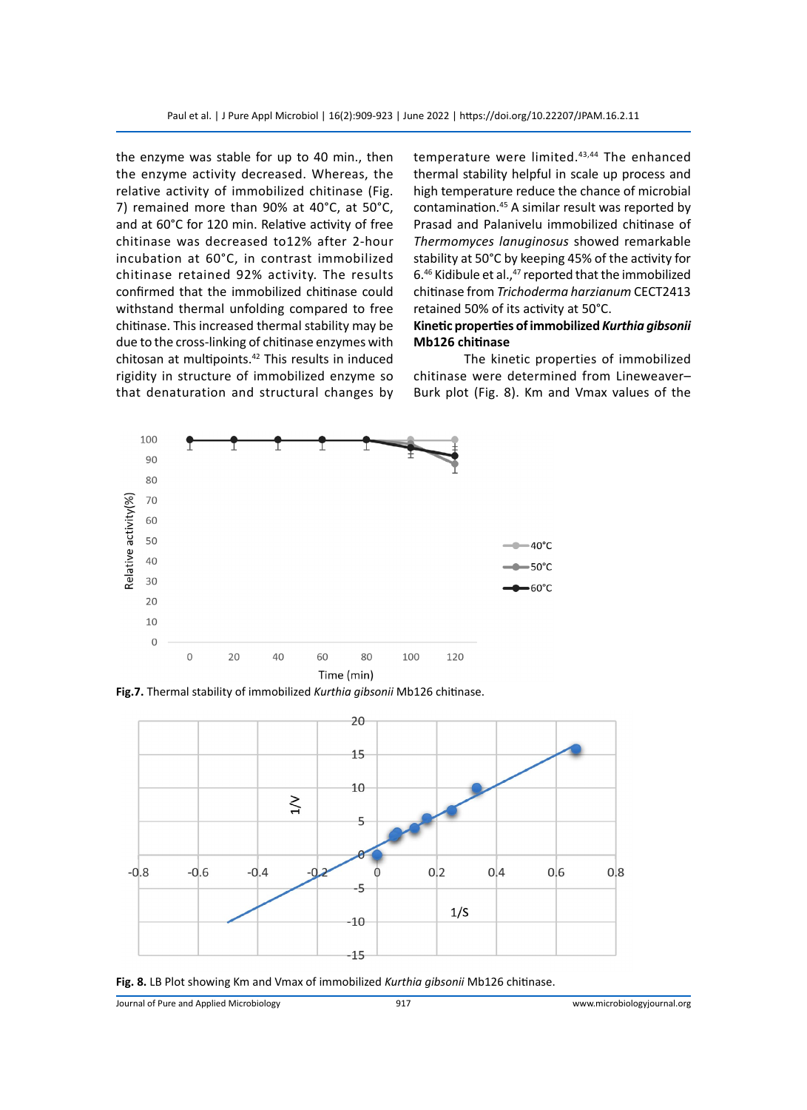the enzyme was stable for up to 40 min., then the enzyme activity decreased. Whereas, the relative activity of immobilized chitinase (Fig. 7) remained more than 90% at 40°C, at 50°C, and at 60°C for 120 min. Relative activity of free chitinase was decreased to12% after 2-hour incubation at 60°C, in contrast immobilized chitinase retained 92% activity. The results confirmed that the immobilized chitinase could withstand thermal unfolding compared to free chitinase. This increased thermal stability may be due to the cross-linking of chitinase enzymes with chitosan at multipoints.<sup>42</sup> This results in induced rigidity in structure of immobilized enzyme so that denaturation and structural changes by

temperature were limited.<sup>43,44</sup> The enhanced thermal stability helpful in scale up process and high temperature reduce the chance of microbial contamination.<sup>45</sup> A similar result was reported by Prasad and Palanivelu immobilized chitinase of *Thermomyces lanuginosus* showed remarkable stability at 50°C by keeping 45% of the activity for 6. $46$  Kidibule et al., $47$  reported that the immobilized chitinase from *Trichoderma harzianum* CECT2413 retained 50% of its activity at 50°C.

#### **Kinetic properties of immobilized** *Kurthia gibsonii* **Mb126 chitinase**

The kinetic properties of immobilized chitinase were determined from Lineweaver– Burk plot (Fig. 8). Km and Vmax values of the



**Fig.7.** Thermal stability of immobilized *Kurthia gibsonii* Mb126 chitinase.



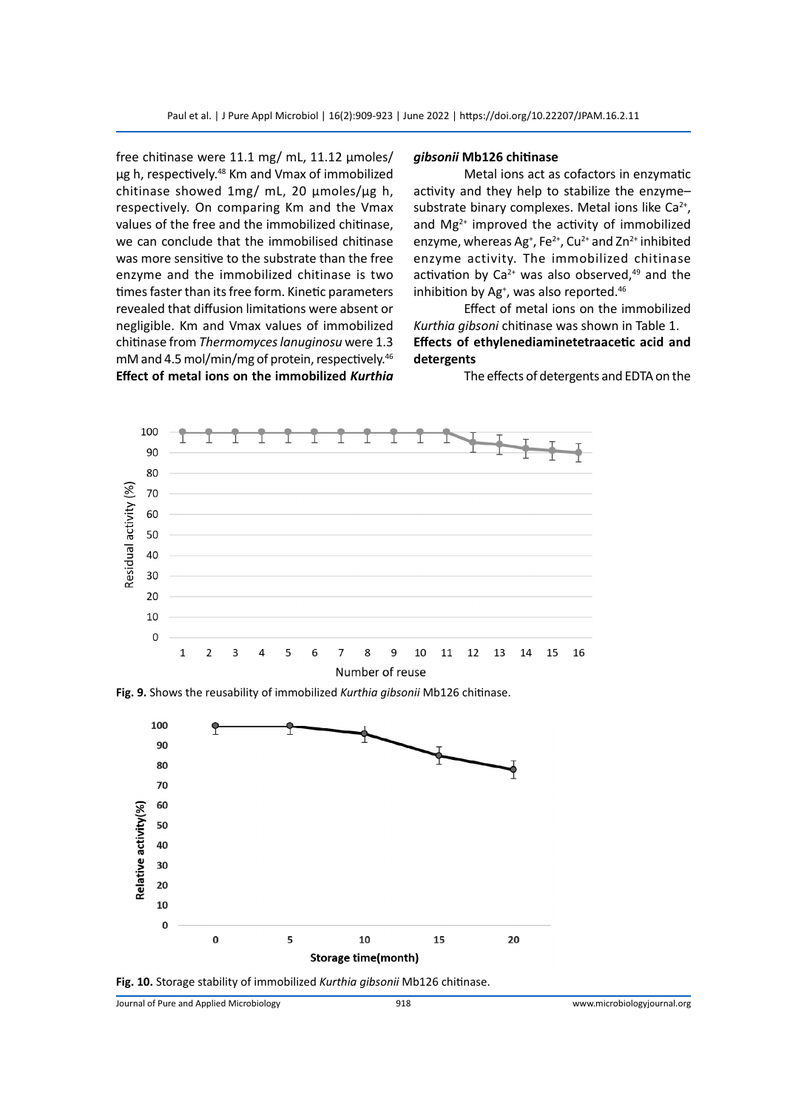free chitinase were 11.1 mg/ mL, 11.12 µmoles/ µg h, respectively.<sup>48</sup> Km and Vmax of immobilized chitinase showed 1mg/ mL, 20 µmoles/µg h, respectively. On comparing Km and the Vmax values of the free and the immobilized chitinase, we can conclude that the immobilised chitinase was more sensitive to the substrate than the free enzyme and the immobilized chitinase is two times faster than its free form. Kinetic parameters revealed that diffusion limitations were absent or negligible. Km and Vmax values of immobilized chitinase from *Thermomyces lanuginosu* were 1.3 mM and 4.5 mol/min/mg of protein, respectively.<sup>46</sup> **Effect of metal ions on the immobilized** *Kurthia* 

#### *gibsonii* **Mb126 chitinase**

Metal ions act as cofactors in enzymatic activity and they help to stabilize the enzyme– substrate binary complexes. Metal ions like  $Ca<sup>2+</sup>$ , and  $Mg^{2+}$  improved the activity of immobilized enzyme, whereas Ag<sup>+</sup>, Fe<sup>2+</sup>, Cu<sup>2+</sup> and Zn<sup>2+</sup> inhibited enzyme activity. The immobilized chitinase activation by  $Ca^{2+}$  was also observed, $49$  and the inhibition by Ag<sup>+</sup>, was also reported.<sup>46</sup>

Effect of metal ions on the immobilized *Kurthia gibsoni* chitinase was shown in Table 1. **Effects of ethylenediaminetetraacetic acid and detergents**

The effects of detergents and EDTA on the



**Fig. 9.** Shows the reusability of immobilized *Kurthia gibsonii* Mb126 chitinase.



**Fig. 10.** Storage stability of immobilized *Kurthia gibsonii* Mb126 chitinase.

Journal of Pure and Applied Microbiology 918 www.microbiologyjournal.org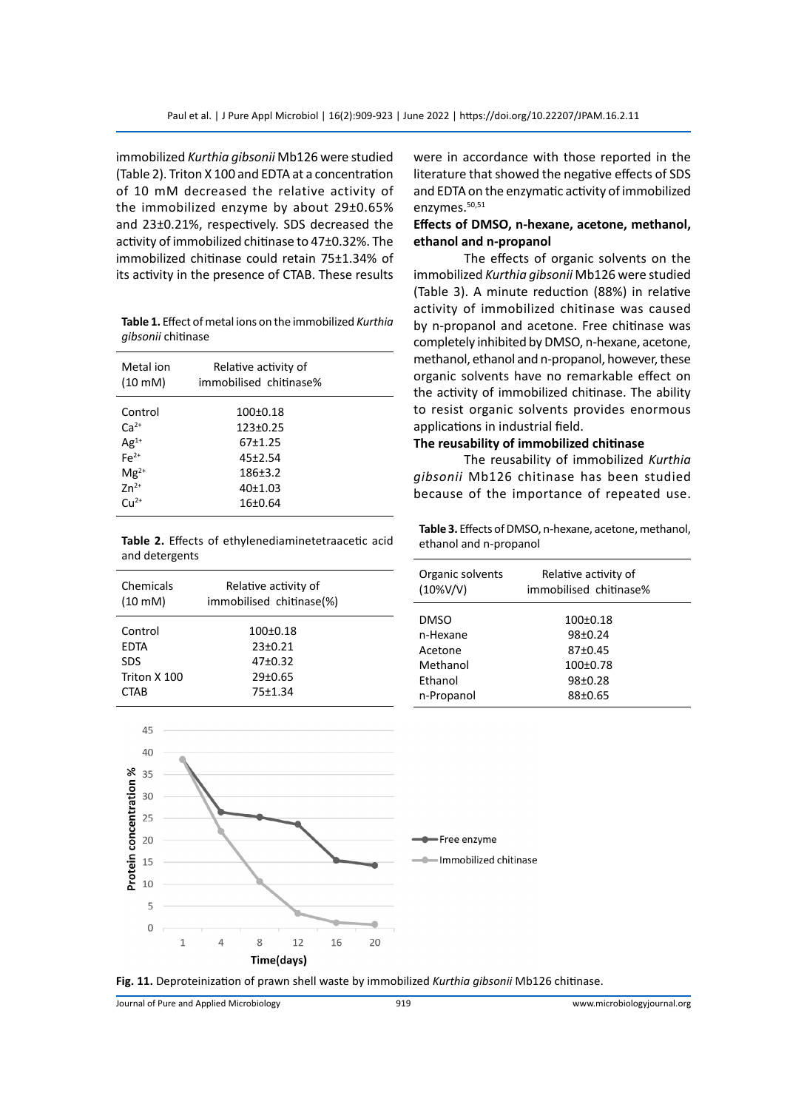immobilized *Kurthia gibsonii* Mb126 were studied (Table 2). Triton X 100 and EDTA at a concentration of 10 mM decreased the relative activity of the immobilized enzyme by about 29±0.65% and 23±0.21%, respectively. SDS decreased the activity of immobilized chitinase to 47±0.32%. The immobilized chitinase could retain 75±1.34% of its activity in the presence of CTAB. These results

**Table 1.** Effect of metal ions on the immobilized *Kurthia gibsonii* chitinase

| Metal ion<br>$(10 \text{ mM})$                                                                                                | Relative activity of<br>immobilised chitinase%                                                     |  |
|-------------------------------------------------------------------------------------------------------------------------------|----------------------------------------------------------------------------------------------------|--|
| Control<br>$Ca2+$<br>$\mathsf{A} \mathsf{g}^{1+}_{1}$<br>$\mathsf{F} \mathsf{e}^{2+}_{1}$<br>$Mg^{2+}$<br>$7n^{2+}$<br>$Cu2+$ | $100+0.18$<br>$123 \pm 0.25$<br>67+1.25<br>$45+2.54$<br>186 <sup>+</sup> 3.2<br>40±1.03<br>16±0.64 |  |

**Table 2.** Effects of ethylenediaminetetraacetic acid and detergents

| Chemicals<br>$(10 \text{ mM})$ | Relative activity of<br>immobilised chitinase(%) |  |
|--------------------------------|--------------------------------------------------|--|
| Control<br>EDTA                | $100+0.18$<br>$23 \pm 0.21$                      |  |
| <b>SDS</b>                     | $47+0.32$                                        |  |
| Triton X 100                   | 29±0.65                                          |  |
| CTAB                           | 75±1.34                                          |  |
|                                |                                                  |  |

were in accordance with those reported in the literature that showed the negative effects of SDS and EDTA on the enzymatic activity of immobilized enzymes.<sup>50,51</sup>

#### **Effects of DMSO, n-hexane, acetone, methanol, ethanol and n-propanol**

The effects of organic solvents on the immobilized *Kurthia gibsonii* Mb126 were studied (Table 3). A minute reduction (88%) in relative activity of immobilized chitinase was caused by n-propanol and acetone. Free chitinase was completely inhibited by DMSO, n-hexane, acetone, methanol, ethanol and n-propanol, however, these organic solvents have no remarkable effect on the activity of immobilized chitinase. The ability to resist organic solvents provides enormous applications in industrial field.

#### **The reusability of immobilized chitinase**

The reusability of immobilized *Kurthia gibsonii* Mb126 chitinase has been studied because of the importance of repeated use.

**Table 3.** Effects of DMSO, n-hexane, acetone, methanol, ethanol and n-propanol

| Organic solvents<br>$(10\%V/V)$                                         | Relative activity of<br>immobilised chitinase%                       |  |
|-------------------------------------------------------------------------|----------------------------------------------------------------------|--|
| <b>DMSO</b><br>n-Hexane<br>Acetone<br>Methanol<br>Ethanol<br>n-Propanol | $100+0.18$<br>98±0.24<br>87±0.45<br>$100+0.78$<br>98±0.28<br>88±0.65 |  |



**Fig. 11.** Deproteinization of prawn shell waste by immobilized *Kurthia gibsonii* Mb126 chitinase.

Journal of Pure and Applied Microbiology 919 www.microbiologyjournal.org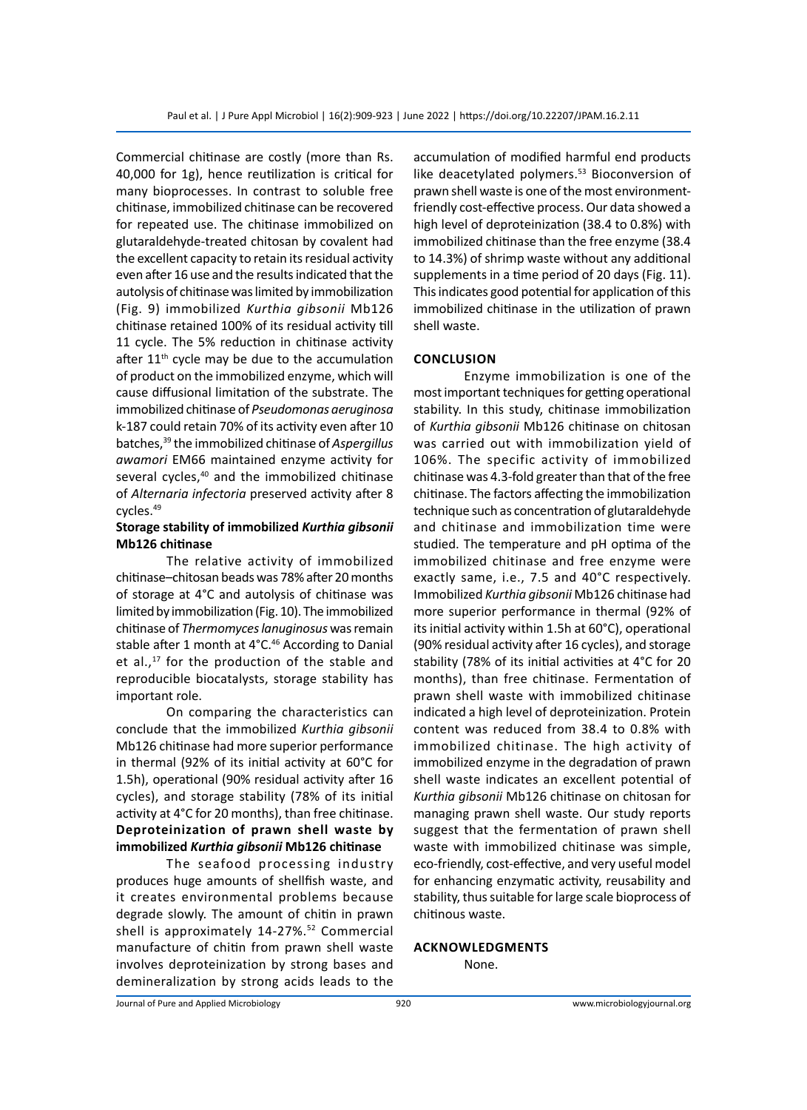Commercial chitinase are costly (more than Rs. 40,000 for 1g), hence reutilization is critical for many bioprocesses. In contrast to soluble free chitinase, immobilized chitinase can be recovered for repeated use. The chitinase immobilized on glutaraldehyde-treated chitosan by covalent had the excellent capacity to retain its residual activity even after 16 use and the results indicated that the autolysis of chitinase was limited by immobilization (Fig. 9) immobilized *Kurthia gibsonii* Mb126 chitinase retained 100% of its residual activity till 11 cycle. The 5% reduction in chitinase activity after  $11<sup>th</sup>$  cycle may be due to the accumulation of product on the immobilized enzyme, which will cause diffusional limitation of the substrate. The immobilized chitinase of *Pseudomonas aeruginosa* k-187 could retain 70% of its activity even after 10 batches,<sup>39</sup> the immobilized chitinase of *Aspergillus awamori* EM66 maintained enzyme activity for several cycles,<sup>40</sup> and the immobilized chitinase of *Alternaria infectoria* preserved activity after 8 cycles.<sup>49</sup>

# **Storage stability of immobilized** *Kurthia gibsonii* **Mb126 chitinase**

The relative activity of immobilized chitinase–chitosan beads was 78% after 20 months of storage at 4°C and autolysis of chitinase was limited by immobilization (Fig. 10). The immobilized chitinase of *Thermomyces lanuginosus* was remain stable after 1 month at 4°C.<sup>46</sup> According to Danial et al., $^{17}$  for the production of the stable and reproducible biocatalysts, storage stability has important role.

On comparing the characteristics can conclude that the immobilized *Kurthia gibsonii* Mb126 chitinase had more superior performance in thermal (92% of its initial activity at 60°C for 1.5h), operational (90% residual activity after 16 cycles), and storage stability (78% of its initial activity at 4°C for 20 months), than free chitinase. **Deproteinization of prawn shell waste by immobilized** *Kurthia gibsonii* **Mb126 chitinase**

The seafood processing industry produces huge amounts of shellfish waste, and it creates environmental problems because degrade slowly. The amount of chitin in prawn shell is approximately 14-27%.<sup>52</sup> Commercial manufacture of chitin from prawn shell waste involves deproteinization by strong bases and demineralization by strong acids leads to the accumulation of modified harmful end products like deacetylated polymers.<sup>53</sup> Bioconversion of prawn shell waste is one of the most environmentfriendly cost-effective process. Our data showed a high level of deproteinization (38.4 to 0.8%) with immobilized chitinase than the free enzyme (38.4 to 14.3%) of shrimp waste without any additional supplements in a time period of 20 days (Fig. 11). This indicates good potential for application of this immobilized chitinase in the utilization of prawn shell waste.

# **Conclusion**

Enzyme immobilization is one of the most important techniques for getting operational stability. In this study, chitinase immobilization of *Kurthia gibsonii* Mb126 chitinase on chitosan was carried out with immobilization yield of 106%. The specific activity of immobilized chitinase was 4.3-fold greater than that of the free chitinase. The factors affecting the immobilization technique such as concentration of glutaraldehyde and chitinase and immobilization time were studied. The temperature and pH optima of the immobilized chitinase and free enzyme were exactly same, i.e., 7.5 and 40°C respectively. Immobilized *Kurthia gibsonii* Mb126 chitinase had more superior performance in thermal (92% of its initial activity within 1.5h at 60°C), operational (90% residual activity after 16 cycles), and storage stability (78% of its initial activities at 4°C for 20 months), than free chitinase. Fermentation of prawn shell waste with immobilized chitinase indicated a high level of deproteinization. Protein content was reduced from 38.4 to 0.8% with immobilized chitinase. The high activity of immobilized enzyme in the degradation of prawn shell waste indicates an excellent potential of *Kurthia gibsonii* Mb126 chitinase on chitosan for managing prawn shell waste. Our study reports suggest that the fermentation of prawn shell waste with immobilized chitinase was simple, eco-friendly, cost-effective, and very useful model for enhancing enzymatic activity, reusability and stability, thus suitable for large scale bioprocess of chitinous waste.

#### **Acknowledgments**

None.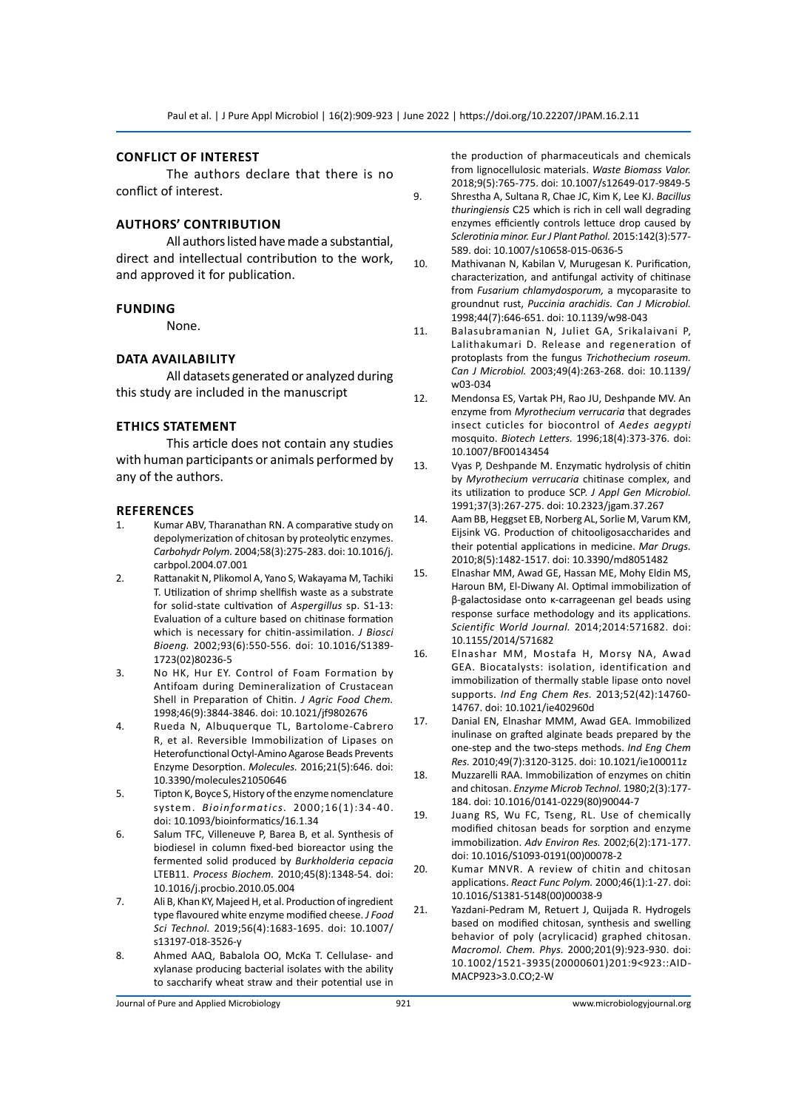#### **Conflict of interest**

The authors declare that there is no conflict of interest.

#### **Authors' Contribution**

All authors listed have made a substantial, direct and intellectual contribution to the work, and approved it for publication.

#### **Funding**

None.

#### **Data Availability**

All datasets generated or analyzed during this study are included in the manuscript

#### **Ethics Statement**

This article does not contain any studies with human participants or animals performed by any of the authors.

#### **References**

- Kumar ABV, Tharanathan RN. A comparative study on depolymerization of chitosan by proteolytic enzymes. *Carbohydr Polym.* 2004;58(3):275-283. doi: 10.1016/j. carbpol.2004.07.001
- 2. Rattanakit N, Plikomol A, Yano S, Wakayama M, Tachiki T. Utilization of shrimp shellfish waste as a substrate for solid-state cultivation of *Aspergillus* sp. S1-13: Evaluation of a culture based on chitinase formation which is necessary for chitin-assimilation. *J Biosci Bioeng.* 2002;93(6):550-556. doi: 10.1016/S1389- 1723(02)80236-5
- 3. No HK, Hur EY. Control of Foam Formation by Antifoam during Demineralization of Crustacean Shell in Preparation of Chitin. *J Agric Food Chem.*  1998;46(9):3844-3846. doi: 10.1021/jf9802676
- 4. Rueda N, Albuquerque TL, Bartolome-Cabrero R, et al. Reversible Immobilization of Lipases on Heterofunctional Octyl-Amino Agarose Beads Prevents Enzyme Desorption. *Molecules.* 2016;21(5):646. doi: 10.3390/molecules21050646
- 5. Tipton K, Boyce S, History of the enzyme nomenclature system. *Bioinformatics.* 2000;16(1):34-40. doi: 10.1093/bioinformatics/16.1.34
- 6. Salum TFC, Villeneuve P, Barea B, et al. Synthesis of biodiesel in column fixed-bed bioreactor using the fermented solid produced by *Burkholderia cepacia*  LTEB11. *Process Biochem.* 2010;45(8):1348-54. doi: 10.1016/j.procbio.2010.05.004
- 7. Ali B, Khan KY, Majeed H, et al. Production of ingredient type flavoured white enzyme modified cheese. *J Food Sci Technol.* 2019;56(4):1683-1695. doi: 10.1007/ s13197-018-3526-y
- 8. Ahmed AAQ, Babalola OO, McKa T. Cellulase- and xylanase producing bacterial isolates with the ability to saccharify wheat straw and their potential use in

the production of pharmaceuticals and chemicals from lignocellulosic materials. *Waste Biomass Valor.* 2018;9(5):765-775. doi: 10.1007/s12649-017-9849-5

- 9. Shrestha A, Sultana R, Chae JC, Kim K, Lee KJ. *Bacillus thuringiensis* C25 which is rich in cell wall degrading enzymes efficiently controls lettuce drop caused by *Sclerotinia minor. Eur J Plant Pathol.* 2015:142(3):577- 589. doi: 10.1007/s10658-015-0636-5
- 10. Mathivanan N, Kabilan V, Murugesan K. Purification, characterization, and antifungal activity of chitinase from *Fusarium chlamydosporum,* a mycoparasite to groundnut rust, *Puccinia arachidis. Can J Microbiol.*  1998;44(7):646-651. doi: 10.1139/w98-043
- 11. Balasubramanian N, Juliet GA, Srikalaivani P, Lalithakumari D. Release and regeneration of protoplasts from the fungus *Trichothecium roseum. Can J Microbiol.* 2003;49(4):263-268. doi: 10.1139/ w03-034
- 12. Mendonsa ES, Vartak PH, Rao JU, Deshpande MV. An enzyme from *Myrothecium verrucaria* that degrades insect cuticles for biocontrol of *Aedes aegypti*  mosquito. *Biotech Letters.* 1996;18(4):373-376. doi: 10.1007/BF00143454
- 13. Vyas P, Deshpande M. Enzymatic hydrolysis of chitin by *Myrothecium verrucaria* chitinase complex, and its utilization to produce SCP. *J Appl Gen Microbiol.*  1991;37(3):267-275. doi: 10.2323/jgam.37.267
- 14. Aam BB, Heggset EB, Norberg AL, Sorlie M, Varum KM, Eijsink VG. Production of chitooligosaccharides and their potential applications in medicine. *Mar Drugs.*  2010;8(5):1482-1517. doi: 10.3390/md8051482
- 15. Elnashar MM, Awad GE, Hassan ME, Mohy Eldin MS, Haroun BM, El-Diwany AI. Optimal immobilization of β-galactosidase onto κ-carrageenan gel beads using response surface methodology and its applications. *Scientific World Journal.* 2014;2014:571682. doi: 10.1155/2014/571682
- 16. Elnashar MM, Mostafa H, Morsy NA, Awad GEA. Biocatalysts: isolation, identification and immobilization of thermally stable lipase onto novel supports. *Ind Eng Chem Res.* 2013;52(42):14760- 14767. doi: 10.1021/ie402960d
- 17. Danial EN, Elnashar MMM, Awad GEA. Immobilized inulinase on grafted alginate beads prepared by the one-step and the two-steps methods. *Ind Eng Chem Res.* 2010;49(7):3120-3125. doi: 10.1021/ie100011z
- 18. Muzzarelli RAA. Immobilization of enzymes on chitin and chitosan. *Enzyme Microb Technol.* 1980;2(3):177- 184. doi: 10.1016/0141-0229(80)90044-7
- 19. Juang RS, Wu FC, Tseng, RL. Use of chemically modified chitosan beads for sorption and enzyme immobilization. *Adv Environ Res.* 2002;6(2):171-177. doi: 10.1016/S1093-0191(00)00078-2
- 20. Kumar MNVR. A review of chitin and chitosan applications. *React Func Polym.* 2000;46(1):1-27. doi: 10.1016/S1381-5148(00)00038-9
- 21. Yazdani-Pedram M, Retuert J, Quijada R. Hydrogels based on modified chitosan, synthesis and swelling behavior of poly (acrylicacid) graphed chitosan. *Macromol. Chem. Phys.* 2000;201(9):923-930. doi: 10.1002/1521-3935(20000601)201:9<923::AID-MACP923>3.0.CO;2-W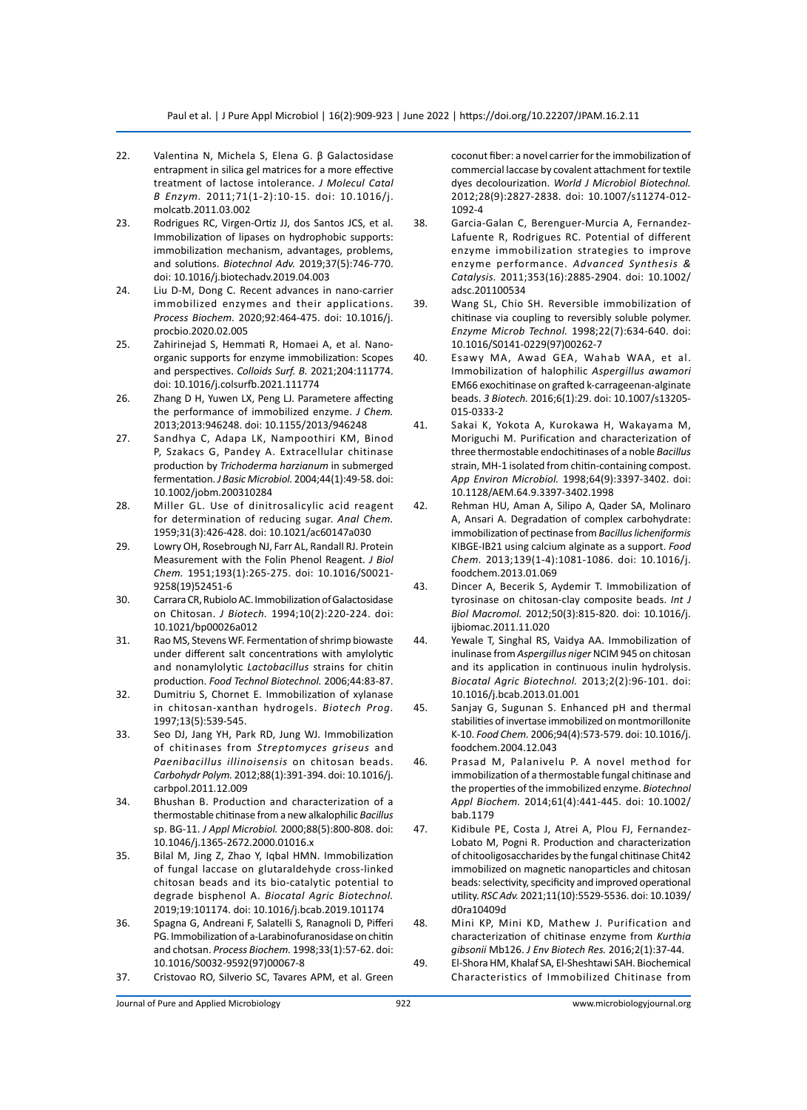- 22. Valentina N, Michela S, Elena G. β Galactosidase entrapment in silica gel matrices for a more effective treatment of lactose intolerance. *J Molecul Catal B Enzym.* 2011;71(1-2):10-15. doi: 10.1016/j. molcatb.2011.03.002
- 23. Rodrigues RC, Virgen-Ortiz JJ, dos Santos JCS, et al. Immobilization of lipases on hydrophobic supports: immobilization mechanism, advantages, problems, and solutions. *Biotechnol Adv.* 2019;37(5):746-770. doi: 10.1016/j.biotechadv.2019.04.003
- 24. Liu D-M, Dong C. Recent advances in nano-carrier immobilized enzymes and their applications. *Process Biochem.* 2020;92:464-475. doi: 10.1016/j. procbio.2020.02.005
- 25. Zahirinejad S, Hemmati R, Homaei A, et al. Nanoorganic supports for enzyme immobilization: Scopes and perspectives. *Colloids Surf. B.* 2021;204:111774. doi: 10.1016/j.colsurfb.2021.111774
- 26. Zhang D H, Yuwen LX, Peng LJ. Parametere affecting the performance of immobilized enzyme. *J Chem.* 2013;2013:946248. doi: 10.1155/2013/946248
- 27. Sandhya C, Adapa LK, Nampoothiri KM, Binod P, Szakacs G, Pandey A. Extracellular chitinase production by *Trichoderma harzianum* in submerged fermentation. *J Basic Microbiol.* 2004;44(1):49-58. doi: 10.1002/jobm.200310284
- 28. Miller GL. Use of dinitrosalicylic acid reagent for determination of reducing sugar. *Anal Chem.* 1959;31(3):426-428. doi: 10.1021/ac60147a030
- 29. Lowry OH, Rosebrough NJ, Farr AL, Randall RJ. Protein Measurement with the Folin Phenol Reagent. *J Biol Chem.* 1951;193(1):265-275. doi: 10.1016/S0021- 9258(19)52451-6
- 30. Carrara CR, Rubiolo AC. Immobilization of Galactosidase on Chitosan. *J Biotech.* 1994;10(2):220-224. doi: 10.1021/bp00026a012
- 31. Rao MS, Stevens WF. Fermentation of shrimp biowaste under different salt concentrations with amylolytic and nonamylolytic *Lactobacillus* strains for chitin production. *Food Technol Biotechnol.* 2006;44:83-87.
- 32. Dumitriu S, Chornet E. Immobilization of xylanase in chitosan-xanthan hydrogels. *Biotech Prog.*  1997;13(5):539-545.
- 33. Seo DJ, Jang YH, Park RD, Jung WJ. Immobilization of chitinases from *Streptomyces griseus* and *Paenibacillus illinoisensis* on chitosan beads. *Carbohydr Polym.* 2012;88(1):391-394. doi: 10.1016/j. carbpol.2011.12.009
- 34. Bhushan B. Production and characterization of a thermostable chitinase from a new alkalophilic *Bacillus*  sp. BG-11. *J Appl Microbiol.* 2000;88(5):800-808. doi: 10.1046/j.1365-2672.2000.01016.x
- 35. Bilal M, Jing Z, Zhao Y, Iqbal HMN. Immobilization of fungal laccase on glutaraldehyde cross-linked chitosan beads and its bio-catalytic potential to degrade bisphenol A. *Biocatal Agric Biotechnol.* 2019;19:101174. doi: 10.1016/j.bcab.2019.101174
- 36. Spagna G, Andreani F, Salatelli S, Ranagnoli D, Pifferi PG. Immobilization of a-Larabinofuranosidase on chitin and chotsan. *Process Biochem.* 1998;33(1):57-62. doi: 10.1016/S0032-9592(97)00067-8
- 37. Cristovao RO, Silverio SC, Tavares APM, et al. Green

coconut fiber: a novel carrier for the immobilization of commercial laccase by covalent attachment for textile dyes decolourization. *World J Microbiol Biotechnol.*  2012;28(9):2827-2838. doi: 10.1007/s11274-012- 1092-4

- 38. Garcia‐Galan C, Berenguer‐Murcia A, Fernandez‐ Lafuente R, Rodrigues RC. Potential of different enzyme immobilization strategies to improve enzyme performance. *Advanced Synthesis & Catalysis.* 2011;353(16):2885-2904. doi: 10.1002/ adsc.201100534
- 39. Wang SL, Chio SH. Reversible immobilization of chitinase via coupling to reversibly soluble polymer. *Enzyme Microb Technol.* 1998;22(7):634-640. doi: 10.1016/S0141-0229(97)00262-7
- 40. Esawy MA, Awad GEA, Wahab WAA, et al. Immobilization of halophilic *Aspergillus awamori*  EM66 exochitinase on grafted k-carrageenan-alginate beads. *3 Biotech.* 2016;6(1):29. doi: 10.1007/s13205- 015-0333-2
- 41. Sakai K, Yokota A, Kurokawa H, Wakayama M, Moriguchi M. Purification and characterization of three thermostable endochitinases of a noble *Bacillus*  strain, MH-1 isolated from chitin-containing compost. *App Environ Microbiol.* 1998;64(9):3397-3402. doi: 10.1128/AEM.64.9.3397-3402.1998
- 42. Rehman HU, Aman A, Silipo A, Qader SA, Molinaro A, Ansari A. Degradation of complex carbohydrate: immobilization of pectinase from *Bacillus licheniformis*  KIBGE-IB21 using calcium alginate as a support. *Food Chem.* 2013;139(1-4):1081-1086. doi: 10.1016/j. foodchem.2013.01.069
- 43. Dincer A, Becerik S, Aydemir T. Immobilization of tyrosinase on chitosan-clay composite beads. *Int J Biol Macromol.* 2012;50(3):815-820. doi: 10.1016/j. ijbiomac.2011.11.020
- 44. Yewale T, Singhal RS, Vaidya AA. Immobilization of inulinase from *Aspergillus niger* NCIM 945 on chitosan and its application in continuous inulin hydrolysis. *Biocatal Agric Biotechnol.* 2013;2(2):96-101. doi: 10.1016/j.bcab.2013.01.001
- 45. Sanjay G, Sugunan S. Enhanced pH and thermal stabilities of invertase immobilized on montmorillonite K-10. *Food Chem.* 2006;94(4):573-579. doi: 10.1016/j. foodchem.2004.12.043
- 46. Prasad M, Palanivelu P. A novel method for immobilization of a thermostable fungal chitinase and the properties of the immobilized enzyme. *Biotechnol Appl Biochem.* 2014;61(4):441-445. doi: 10.1002/ bab.1179
- 47. Kidibule PE, Costa J, Atrei A, Plou FJ, Fernandez-Lobato M, Pogni R. Production and characterization of chitooligosaccharides by the fungal chitinase Chit42 immobilized on magnetic nanoparticles and chitosan beads: selectivity, specificity and improved operational utility. *RSC Adv.* 2021;11(10):5529-5536. doi: 10.1039/ d0ra10409d
- 48. Mini KP, Mini KD, Mathew J. Purification and characterization of chitinase enzyme from *Kurthia gibsonii* Mb126. *J Env Biotech Res.* 2016;2(1):37-44.
- 49. El-Shora HM, Khalaf SA, El-Sheshtawi SAH. Biochemical Characteristics of Immobilized Chitinase from